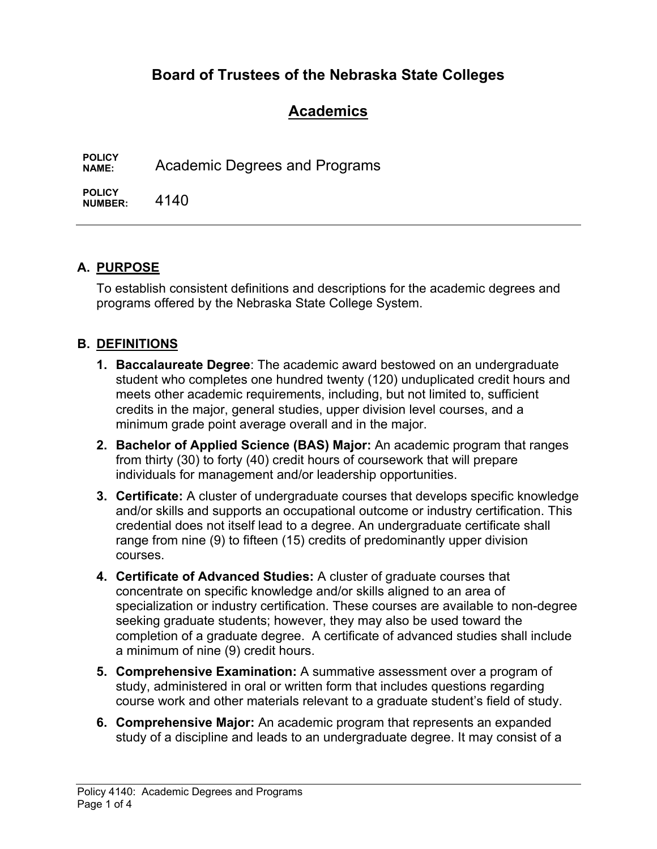# **Board of Trustees of the Nebraska State Colleges**

# **Academics**

**POLICY**  Academic Degrees and Programs

**POLICY NUMBER:** 4140

## **A. PURPOSE**

To establish consistent definitions and descriptions for the academic degrees and programs offered by the Nebraska State College System.

## **B. DEFINITIONS**

- **1. Baccalaureate Degree**: The academic award bestowed on an undergraduate student who completes one hundred twenty (120) unduplicated credit hours and meets other academic requirements, including, but not limited to, sufficient credits in the major, general studies, upper division level courses, and a minimum grade point average overall and in the major.
- **2. Bachelor of Applied Science (BAS) Major:** An academic program that ranges from thirty (30) to forty (40) credit hours of coursework that will prepare individuals for management and/or leadership opportunities.
- **3. Certificate:** A cluster of undergraduate courses that develops specific knowledge and/or skills and supports an occupational outcome or industry certification. This credential does not itself lead to a degree. An undergraduate certificate shall range from nine (9) to fifteen (15) credits of predominantly upper division courses.
- **4. Certificate of Advanced Studies:** A cluster of graduate courses that concentrate on specific knowledge and/or skills aligned to an area of specialization or industry certification. These courses are available to non-degree seeking graduate students; however, they may also be used toward the completion of a graduate degree. A certificate of advanced studies shall include a minimum of nine (9) credit hours.
- **5. Comprehensive Examination:** A summative assessment over a program of study, administered in oral or written form that includes questions regarding course work and other materials relevant to a graduate student's field of study.
- **6. Comprehensive Major:** An academic program that represents an expanded study of a discipline and leads to an undergraduate degree. It may consist of a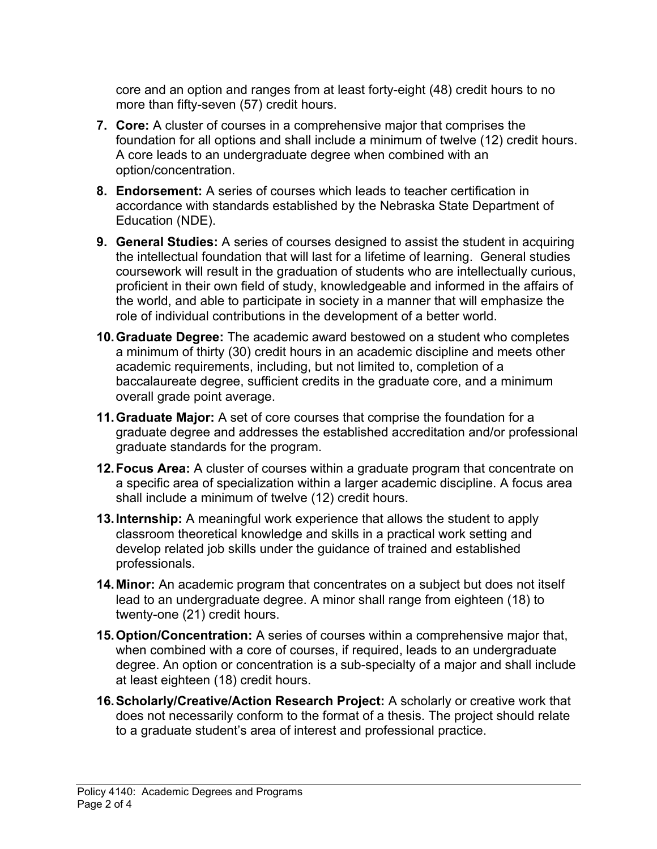core and an option and ranges from at least forty-eight (48) credit hours to no more than fifty-seven (57) credit hours.

- **7. Core:** A cluster of courses in a comprehensive major that comprises the foundation for all options and shall include a minimum of twelve (12) credit hours. A core leads to an undergraduate degree when combined with an option/concentration.
- **8. Endorsement:** A series of courses which leads to teacher certification in accordance with standards established by the Nebraska State Department of Education (NDE).
- **9. General Studies:** A series of courses designed to assist the student in acquiring the intellectual foundation that will last for a lifetime of learning. General studies coursework will result in the graduation of students who are intellectually curious, proficient in their own field of study, knowledgeable and informed in the affairs of the world, and able to participate in society in a manner that will emphasize the role of individual contributions in the development of a better world.
- **10. Graduate Degree:** The academic award bestowed on a student who completes a minimum of thirty (30) credit hours in an academic discipline and meets other academic requirements, including, but not limited to, completion of a baccalaureate degree, sufficient credits in the graduate core, and a minimum overall grade point average.
- **11. Graduate Major:** A set of core courses that comprise the foundation for a graduate degree and addresses the established accreditation and/or professional graduate standards for the program.
- **12. Focus Area:** A cluster of courses within a graduate program that concentrate on a specific area of specialization within a larger academic discipline. A focus area shall include a minimum of twelve (12) credit hours.
- **13. Internship:** A meaningful work experience that allows the student to apply classroom theoretical knowledge and skills in a practical work setting and develop related job skills under the guidance of trained and established professionals.
- **14. Minor:** An academic program that concentrates on a subject but does not itself lead to an undergraduate degree. A minor shall range from eighteen (18) to twenty-one (21) credit hours.
- **15. Option/Concentration:** A series of courses within a comprehensive major that, when combined with a core of courses, if required, leads to an undergraduate degree. An option or concentration is a sub-specialty of a major and shall include at least eighteen (18) credit hours.
- **16. Scholarly/Creative/Action Research Project:** A scholarly or creative work that does not necessarily conform to the format of a thesis. The project should relate to a graduate student's area of interest and professional practice.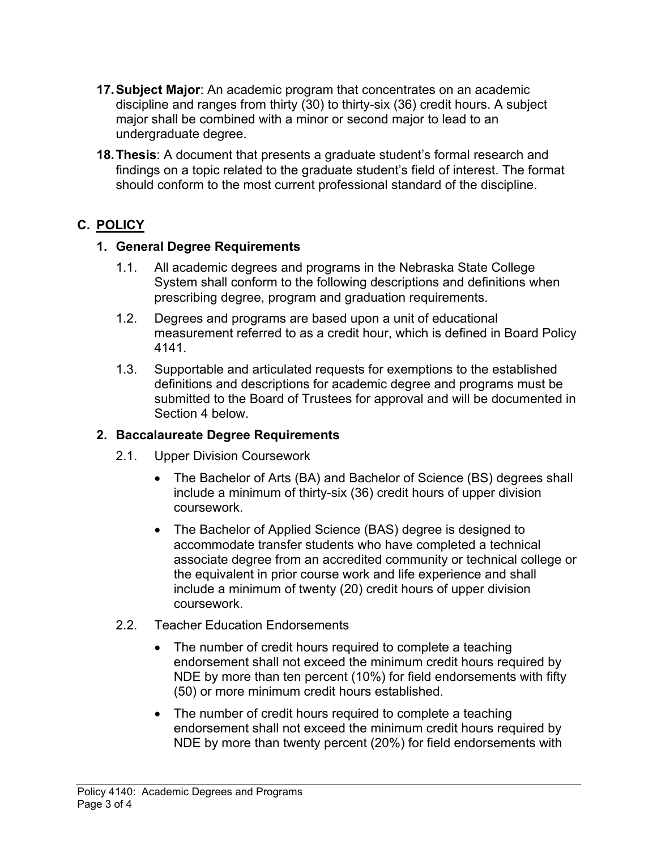- **17. Subject Major**: An academic program that concentrates on an academic discipline and ranges from thirty (30) to thirty-six (36) credit hours. A subject major shall be combined with a minor or second major to lead to an undergraduate degree.
- **18. Thesis**: A document that presents a graduate student's formal research and findings on a topic related to the graduate student's field of interest. The format should conform to the most current professional standard of the discipline.

## **C. POLICY**

## **1. General Degree Requirements**

- 1.1. All academic degrees and programs in the Nebraska State College System shall conform to the following descriptions and definitions when prescribing degree, program and graduation requirements.
- 1.2. Degrees and programs are based upon a unit of educational measurement referred to as a credit hour, which is defined in Board Policy 4141.
- 1.3. Supportable and articulated requests for exemptions to the established definitions and descriptions for academic degree and programs must be submitted to the Board of Trustees for approval and will be documented in Section 4 below.

## **2. Baccalaureate Degree Requirements**

- 2.1. Upper Division Coursework
	- The Bachelor of Arts (BA) and Bachelor of Science (BS) degrees shall include a minimum of thirty-six (36) credit hours of upper division coursework.
	- The Bachelor of Applied Science (BAS) degree is designed to accommodate transfer students who have completed a technical associate degree from an accredited community or technical college or the equivalent in prior course work and life experience and shall include a minimum of twenty (20) credit hours of upper division coursework.
- 2.2. Teacher Education Endorsements
	- The number of credit hours required to complete a teaching endorsement shall not exceed the minimum credit hours required by NDE by more than ten percent (10%) for field endorsements with fifty (50) or more minimum credit hours established.
	- The number of credit hours required to complete a teaching endorsement shall not exceed the minimum credit hours required by NDE by more than twenty percent (20%) for field endorsements with